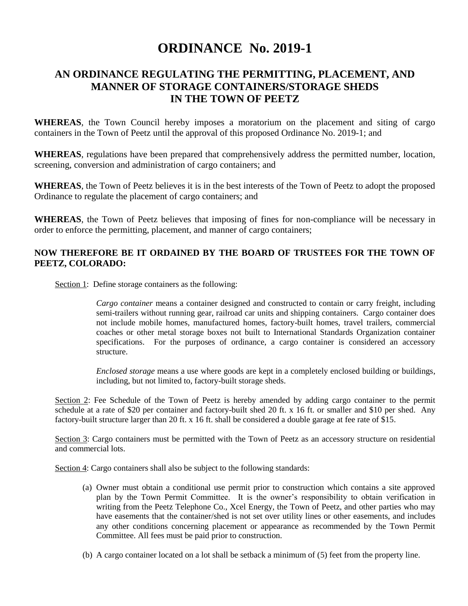## **ORDINANCE No. 2019-1**

## **AN ORDINANCE REGULATING THE PERMITTING, PLACEMENT, AND MANNER OF STORAGE CONTAINERS/STORAGE SHEDS IN THE TOWN OF PEETZ**

**WHEREAS**, the Town Council hereby imposes a moratorium on the placement and siting of cargo containers in the Town of Peetz until the approval of this proposed Ordinance No. 2019-1; and

**WHEREAS**, regulations have been prepared that comprehensively address the permitted number, location, screening, conversion and administration of cargo containers; and

**WHEREAS**, the Town of Peetz believes it is in the best interests of the Town of Peetz to adopt the proposed Ordinance to regulate the placement of cargo containers; and

**WHEREAS**, the Town of Peetz believes that imposing of fines for non-compliance will be necessary in order to enforce the permitting, placement, and manner of cargo containers;

## **NOW THEREFORE BE IT ORDAINED BY THE BOARD OF TRUSTEES FOR THE TOWN OF PEETZ, COLORADO:**

Section 1: Define storage containers as the following:

*Cargo container* means a container designed and constructed to contain or carry freight, including semi-trailers without running gear, railroad car units and shipping containers. Cargo container does not include mobile homes, manufactured homes, factory-built homes, travel trailers, commercial coaches or other metal storage boxes not built to International Standards Organization container specifications. For the purposes of ordinance, a cargo container is considered an accessory structure.

*Enclosed storage* means a use where goods are kept in a completely enclosed building or buildings, including, but not limited to, factory-built storage sheds.

Section 2: Fee Schedule of the Town of Peetz is hereby amended by adding cargo container to the permit schedule at a rate of \$20 per container and factory-built shed 20 ft. x 16 ft. or smaller and \$10 per shed. Any factory-built structure larger than 20 ft. x 16 ft. shall be considered a double garage at fee rate of \$15.

Section 3: Cargo containers must be permitted with the Town of Peetz as an accessory structure on residential and commercial lots.

Section 4: Cargo containers shall also be subject to the following standards:

- (a) Owner must obtain a conditional use permit prior to construction which contains a site approved plan by the Town Permit Committee. It is the owner's responsibility to obtain verification in writing from the Peetz Telephone Co., Xcel Energy, the Town of Peetz, and other parties who may have easements that the container/shed is not set over utility lines or other easements, and includes any other conditions concerning placement or appearance as recommended by the Town Permit Committee. All fees must be paid prior to construction.
- (b) A cargo container located on a lot shall be setback a minimum of (5) feet from the property line.